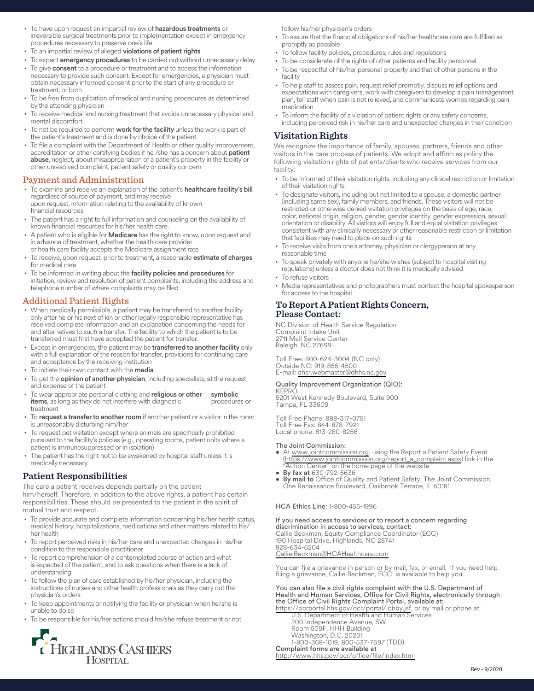- To have upon request an impartial review of hazardous treatments or irreversible surgical treatments prior to implementation except in emergency procedures necessary to preserve one's life
- To an impartial review of alleged violations of patient rights
- To expect emergency procedures to be carried out without unnecessary delay
- To give consent to a procedure or treatment and to access the information necessary to provide such consent. Except for emergencies, a physician must obtain necessary informed consent prior to the start of any procedure or treatment, or both
- To be free from duplication of medical and nursing procedures as determined by the attending physician
- To receive medical and nursing treatment that avoids unnecessary physical and mental discomfort
- To not be required to perform work for the facility unless the work is part of the patient's treatment and is done by choice of the patient
- To file a complaint with the Department of Health or other quality improvement, accreditation or other certifying bodies if he /she has a concern about patient abuse, neglect, about misappropriation of a patient's property in the facility or other unresolved complaint, patient safety or quality concern

# Payment and Administration

- To examine and receive an explanation of the patient's healthcare facility's bill regardless of source of payment, and may receive upon request, information relating to the availability of known financial resources
- The patient has a right to full information and counseling on the availability of known fnancial resources for his/her health care.
- A patient who is eligible for Medicare has the right to know, upon request and in advance of treatment, whether the health care provider or health care facility accepts the Medicare assignment rate
- To receive, upon request, prior to treatment, a reasonable estimate of charges for medical care
- To be informed in writing about the facility policies and procedures for initiation, review and resolution of patient complaints, including the address and telephone number of where complaints may be filed

## Additional Patient Rights

- When medically permissible, a patient may be transferred to another facility only after he or his next of kin or other legally responsible representative has received complete information and an explanation concerning the needs for and alternatives to such a transfer. The facility to which the patient is to be transferred must frst have accepted the patient for transfer.
- Except in emergencies, the patient may be transferred to another facility only with a full explanation of the reason for transfer, provisions for continuing care and acceptance by the receiving institution
- To initiate their own contact with the media
- To get the **opinion of another physician**, including specialists, at the request and expense of the patient
- To wear appropriate personal clothing and religious or other symbolic items, as long as they do not interfere with diagnostic procedures or treatment
- To request a transfer to another room if another patient or a visitor in the room is unreasonably disturbing him/her
- To request pet visitation except where animals are specifically prohibited pursuant to the facility's policies (e.g., operating rooms, patient units where a patient is immunosuppressed or in isolation)
- The patient has the right not to be awakened by hospital staff unless it is medically necessary.

**Patient Responsibilities**  The care a patient receives depends partially on the patient him/herself. Therefore, in addition to the above rights, a patient has certain responsibilities. These should be presented to the patient in the spirit of mutual trust and respect.

- To provide accurate and complete information concerning his/her health status, medical history, hospitalizations, medications and other matters related to his/ her health
- To report perceived risks in his/her care and unexpected changes in his/her condition to the responsible practitioner
- To report comprehension of a contemplated course of action and what is expected of the patient, and to ask questions when there is a lack of understanding
- To follow the plan of care established by his/her physician, including the instructions of nurses and other health professionals as they carry out the physician's orders
- To keep appointments or notifying the facility or physician when he/she is unable to do so
- To be responsible for his/her actions should he/she refuse treatment or not



follow his/her physician's orders

- To assure that the financial obligations of his/her healthcare care are fulfilled as promptly as possible
- To follow facility policies, procedures, rules and regulations
- To be considerate of the rights of other patients and facility personnel
- To be respectful of his/her personal property and that of other persons in the facility
- To help staff to assess pain, request relief promptly, discuss relief options and plan, tell staff when pain is not relieved, and communicate worries regarding pain expectations with caregivers, work with caregivers to develop a pain management medication
- To inform the facility of a violation of patient rights or any safety concerns, including perceived risk in his/her care and unexpected changes in their condition

# **Visitation Rights**

**Visitation Rights**  We recognize the importance of family, spouses, partners, friends and other visitors in the care process of patients. We adopt and affirm as policy the following visitation rights of patients/clients who receive services from our facility:

- • To be informed of their visitation rights, including any clinical restriction or limitation of their visitation rights
- To designate visitors, including but not limited to a spouse, a domestic partner (including same sex), family members, and friends. These visitors will not be restricted or otherwise denied visitation privileges on the basis of age, race, color, national origin, religion, gender, gender identity, gender expression, sexual orientation or disability. All visitors will enjoy full and equal visitation privileges consistent with any clinically necessary or other reasonable restriction or limitation that facilities may need to place on such rights
- To receive visits from one's attorney, physician or clergyperson at any reasonable time
- To speak privately with anyone he/she wishes (subject to hospital visiting regulations) unless a doctor does not think it is medically advised
- To refuse visitors
- Media representatives and photographers must contact the hospital spokesperson for access to the hospital

# **To Report A Patient Rights Concern, Please Contact:**

NC Division of Health Service Regulation Complaint Intake Unit 2711 Mail Service Center Raleigh, NC 27699

Toll Free: 800-624-3004 (NC only) Outside NC: 919-855-4500 E-mail: [dhsr.webmaster@dhhs.nc.gov](mailto:dhsr.webmaster@dhhs.nc.gov)

### Quality Improvement Organization (QIO): KEPRC

5201 West Kennedy Boulevard, Suite 900 Tampa, FL 33609

Toll Free Phone: 888-317-0751 Toll Free Fax: 844-878-7921 Local phone: 813-280-8256

### The Joint Commission:

- At [www.jointcommission.org](https://www.jointcommission.org/), using the Report a Patient Safety Event ([https://www.jointcommission.org/report\\_a\\_complaint.aspx](https://www.jointcommission.org/resources/patient-safety-topics/report-a-patient-safety-concern-or-complaint/)) link in the "Action Center" on the home page of the website By fax at 630-792-5636
- 
- By mail to Office of Quality and Patient Safety, The Joint Commission, One Renaissance Boulevard, Oakbrook Terrace, IL 60181

### HCA Ethics Line: 1-800-455-1996

If you need access to services or to report a concern regarding discrimination in access to services, contact: Callie Beckman, Equity Compliance Coordinator (ECC) 190 Hospital Drive, Highlands, NC 28741 828-634-6204 [Callie.Beckman@HCAHealthcare.com](mailto:Callie.Beckman@HCAHealthcare.com) 

You can file a grievance in person or by mail, fax, or email. If you need help filing a grievance, Callie Beckman, ECC is available to help you.

You can also file a civil rights complaint with the U.S. Department of Health and Human Services, Office for Civil Rights, electronically through the Office of Civil Rights Complaint Portal, available at: [https://ocrportal.hhs.gov/ocr/portal/lobby.jsf](https://ocrportal.hhs.gov/ocr/smartscreen/main.jsf), or by mail or phone at:

U.S. Department of Health and Human Services 200 Independence Avenue, SW Room 509F, HHH Building Washington, D.C. 20201 1-800-368-1019, 800-537-7697 (TDD) Complaint forms are available at [http://www.hhs.gov/ocr/office/file/index.html](https://www.hhs.gov/ocr/complaints/index.html)